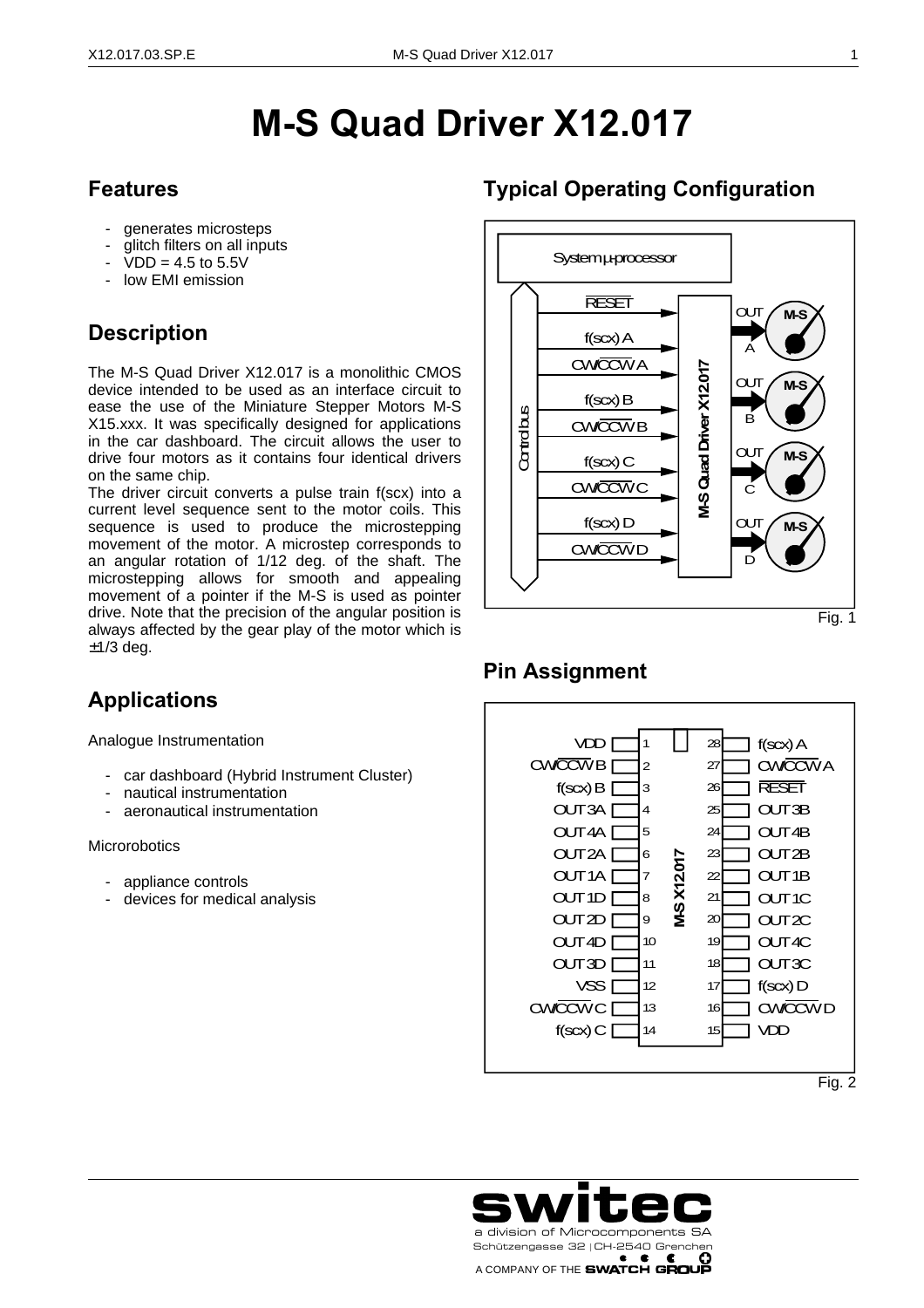# **M-S Quad Driver X12.017**

#### **Features**

- generates microsteps
- glitch filters on all inputs
- $VDD = 4.5$  to 5.5V
- low EMI emission

## **Description**

The M-S Quad Driver X12.017 is a monolithic CMOS device intended to be used as an interface circuit to ease the use of the Miniature Stepper Motors M-S X15.xxx. It was specifically designed for applications in the car dashboard. The circuit allows the user to drive four motors as it contains four identical drivers on the same chip.

The driver circuit converts a pulse train f(scx) into a current level sequence sent to the motor coils. This sequence is used to produce the microstepping movement of the motor. A microstep corresponds to an angular rotation of 1/12 deg. of the shaft. The microstepping allows for smooth and appealing movement of a pointer if the M-S is used as pointer drive. Note that the precision of the angular position is always affected by the gear play of the motor which is  $±1/3$  deg.

### **Applications**

Analogue Instrumentation

- car dashboard (Hybrid Instrument Cluster)
- nautical instrumentation
- aeronautical instrumentation

#### **Microrobotics**

j

- appliance controls
- devices for medical analysis

#### **Typical Operating Configuration**



#### **Pin Assignment**



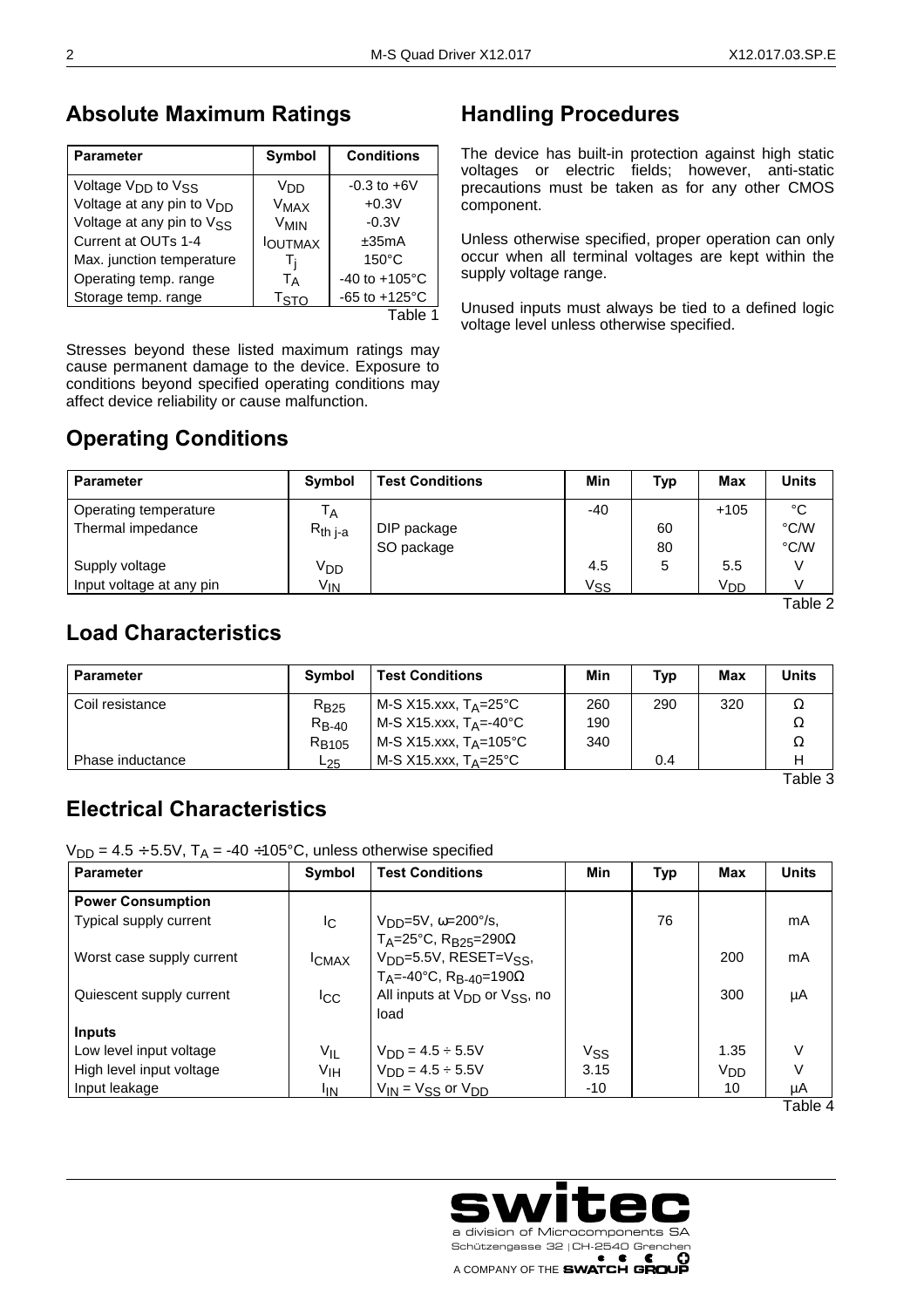#### **Absolute Maximum Ratings**

| <b>Parameter</b>                           | Symbol           | <b>Conditions</b>         |
|--------------------------------------------|------------------|---------------------------|
| Voltage V <sub>DD</sub> to V <sub>SS</sub> | Vnn              | $-0.3$ to $+6V$           |
| Voltage at any pin to V <sub>DD</sub>      | <b>VMAX</b>      | $+0.3V$                   |
| Voltage at any pin to VSS                  | V <sub>MIN</sub> | $-0.3V$                   |
| Current at OUTs 1-4                        | <b>I</b> OUTMAX  | ±35mA                     |
| Max. junction temperature                  | Ti               | $150^{\circ}$ C           |
| Operating temp. range                      | <b>Т</b> д       | $-40$ to $+105^{\circ}$ C |
| Storage temp. range                        | T <sub>STO</sub> | $-65$ to $+125^{\circ}$ C |
|                                            |                  | Table                     |

Stresses beyond these listed maximum ratings may cause permanent damage to the device. Exposure to conditions beyond specified operating conditions may affect device reliability or cause malfunction.

## **Operating Conditions**

### **Handling Procedures**

The device has built-in protection against high static voltages or electric fields; however, anti-static precautions must be taken as for any other CMOS component.

Unless otherwise specified, proper operation can only occur when all terminal voltages are kept within the supply voltage range.

Unused inputs must always be tied to a defined logic voltage level unless otherwise specified.

| <b>Parameter</b>         | <b>Symbol</b>   | <b>Test Conditions</b> | Min   | Typ | <b>Max</b>      | <b>Units</b> |
|--------------------------|-----------------|------------------------|-------|-----|-----------------|--------------|
| Operating temperature    | Тд              |                        | $-40$ |     | $+105$          | °C           |
| Thermal impedance        | $R_{th i-a}$    | DIP package            |       | 60  |                 | °C/W         |
|                          |                 | SO package             |       | 80  |                 | °C/W         |
| Supply voltage           | V <sub>DD</sub> |                        | 4.5   | 5   | 5.5             |              |
| Input voltage at any pin | V <sub>IN</sub> |                        | Vss   |     | V <sub>DD</sub> |              |

Table 2

#### **Load Characteristics**

| <b>Parameter</b> | <b>Symbol</b> | <b>Test Conditions</b>             | Min | Typ | <b>Max</b> | <b>Units</b> |
|------------------|---------------|------------------------------------|-----|-----|------------|--------------|
| Coil resistance  | $R_{B25}$     | M-S X15.xxx, T <sub>A</sub> =25°C  | 260 | 290 | 320        | Ω            |
|                  | $R_{B-40}$    | M-S X15.xxx, $T_A$ =-40°C          | 190 |     |            | Ω            |
|                  | $R_{B105}$    | M-S X15.xxx, $T_A = 105^{\circ}$ C | 340 |     |            | Ω            |
| Phase inductance | $L_{25}$      | M-S X15.xxx, $T_A = 25^{\circ}$ C  |     | 0.4 |            |              |

Table 3

### **Electrical Characteristics**

i,

 $V_{DD} = 4.5 \div 5.5V$ ,  $T_A = -40 \div 105^{\circ}C$ , unless otherwise specified

| <b>Parameter</b>          | Symbol          | <b>Min</b><br><b>Test Conditions</b>                 |      | <b>Typ</b> | Max             | <b>Units</b> |
|---------------------------|-----------------|------------------------------------------------------|------|------------|-----------------|--------------|
| <b>Power Consumption</b>  |                 |                                                      |      |            |                 |              |
| Typical supply current    | I <sub>C</sub>  | $V_{DD} = 5V$ , $\omega = 200^{\circ}/s$ ,           |      | 76         |                 | mA           |
|                           |                 | T <sub>A</sub> =25°C, R <sub>B25</sub> =290 $\Omega$ |      |            |                 |              |
| Worst case supply current | <b>ICMAX</b>    | $VDD=5.5V$ , RESET= $VSS$ ,                          | 200  |            |                 | mA           |
|                           |                 | $T_A = -40$ °C, R <sub>B-40</sub> =190Ω              |      |            |                 |              |
| Quiescent supply current  | <sup>I</sup> CC | All inputs at $V_{DD}$ or $V_{SS}$ , no              |      | 300        | μA              |              |
|                           |                 | load                                                 |      |            |                 |              |
| <b>Inputs</b>             |                 |                                                      |      |            |                 |              |
| Low level input voltage   | VIL             | $V_{DD} = 4.5 \div 5.5V$                             | Vss  |            | 1.35            | V            |
| High level input voltage  | ٧ıн             | $V_{DD} = 4.5 \div 5.5V$                             | 3.15 |            | V <sub>DD</sub> |              |
| Input leakage             | lın.            | $V_{IN}$ = $V_{SS}$ or $V_{DD}$                      | -10  |            | 10              | μA           |

Table 4

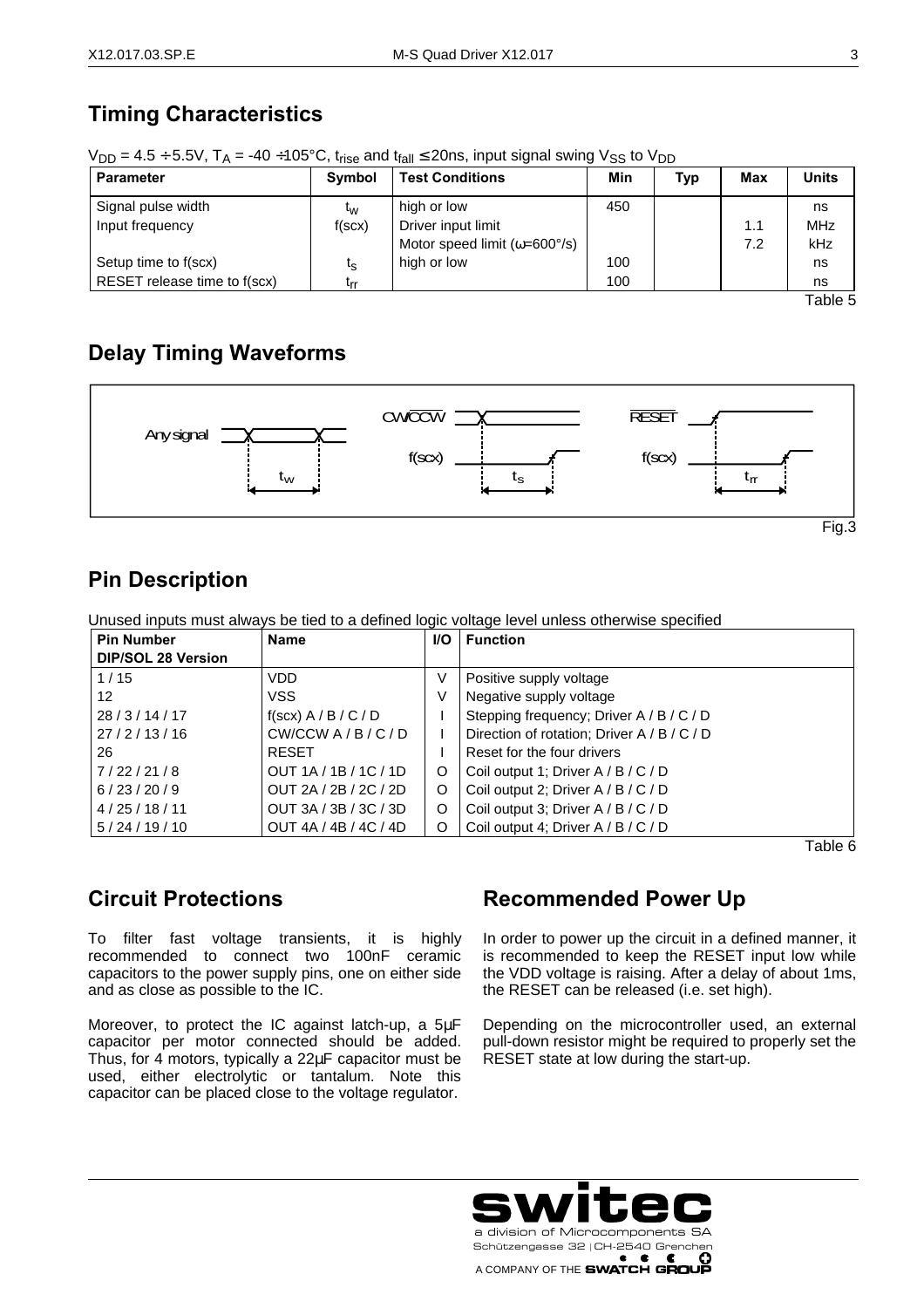## **Timing Characteristics**

| $V_{DD} = 4.5 \div 5.5V$ , $T_A = -40 \div 105^{\circ}C$ , $t_{rise}$ and $t_{fall} \le 20$ ns, input signal swing $V_{SS}$ to $V_{DD}$ |
|-----------------------------------------------------------------------------------------------------------------------------------------|
|-----------------------------------------------------------------------------------------------------------------------------------------|

| <b>Parameter</b>             | <b>Symbol</b>  | <b>Test Conditions</b>                | Min | <b>Typ</b> | Max | <b>Units</b> |
|------------------------------|----------------|---------------------------------------|-----|------------|-----|--------------|
| Signal pulse width           | τ <sub>w</sub> | high or low                           | 450 |            |     | ns           |
| Input frequency              | f(scx)         | Driver input limit                    |     |            | 1.1 | <b>MHz</b>   |
|                              |                | Motor speed limit ( $\omega$ =600°/s) |     |            | 7.2 | kHz          |
| Setup time to f(scx)         | ις             | high or low                           | 100 |            |     | ns           |
| RESET release time to f(scx) | Lrr            |                                       | 100 |            |     | ns           |

Table 5

## **Delay Timing Waveforms**



### **Pin Description**

Unused inputs must always be tied to a defined logic voltage level unless otherwise specified

| <b>Pin Number</b>         | <b>Name</b>            | <b>I/O</b> | <b>Function</b>                             |
|---------------------------|------------------------|------------|---------------------------------------------|
| <b>DIP/SOL 28 Version</b> |                        |            |                                             |
| 1/15                      | <b>VDD</b>             | ٧          | Positive supply voltage                     |
| $12 \overline{ }$         | <b>VSS</b>             | V          | Negative supply voltage                     |
| 28/3/14/17                | $f(scx)$ A / B / C / D |            | Stepping frequency; Driver A / B / C / D    |
| 27/2/13/16                | CW/CCW A/B / C/D       |            | Direction of rotation; Driver A / B / C / D |
| 26                        | <b>RESET</b>           |            | Reset for the four drivers                  |
| 7/22/21/8                 | OUT 1A / 1B / 1C / 1D  | O          | Coil output 1; Driver A / B / C / D         |
| 6/23/20/9                 | OUT 2A / 2B / 2C / 2D  | O          | Coil output 2; Driver A / B / C / D         |
| 4/25/18/11                | OUT 3A / 3B / 3C / 3D  | O          | Coil output 3; Driver A / B / C / D         |
| 5/24/19/10                | OUT 4A / 4B / 4C / 4D  | O          | Coil output 4; Driver A / B / C / D         |

Table 6

#### **Circuit Protections**

j

To filter fast voltage transients, it is highly recommended to connect two 100nF ceramic capacitors to the power supply pins, one on either side and as close as possible to the IC.

Moreover, to protect the IC against latch-up, a 5μF capacitor per motor connected should be added. Thus, for 4 motors, typically a 22μF capacitor must be used, either electrolytic or tantalum. Note this capacitor can be placed close to the voltage regulator.

## **Recommended Power Up**

In order to power up the circuit in a defined manner, it is recommended to keep the RESET input low while the VDD voltage is raising. After a delay of about 1ms, the RESET can be released (i.e. set high).

Depending on the microcontroller used, an external pull-down resistor might be required to properly set the RESET state at low during the start-up.

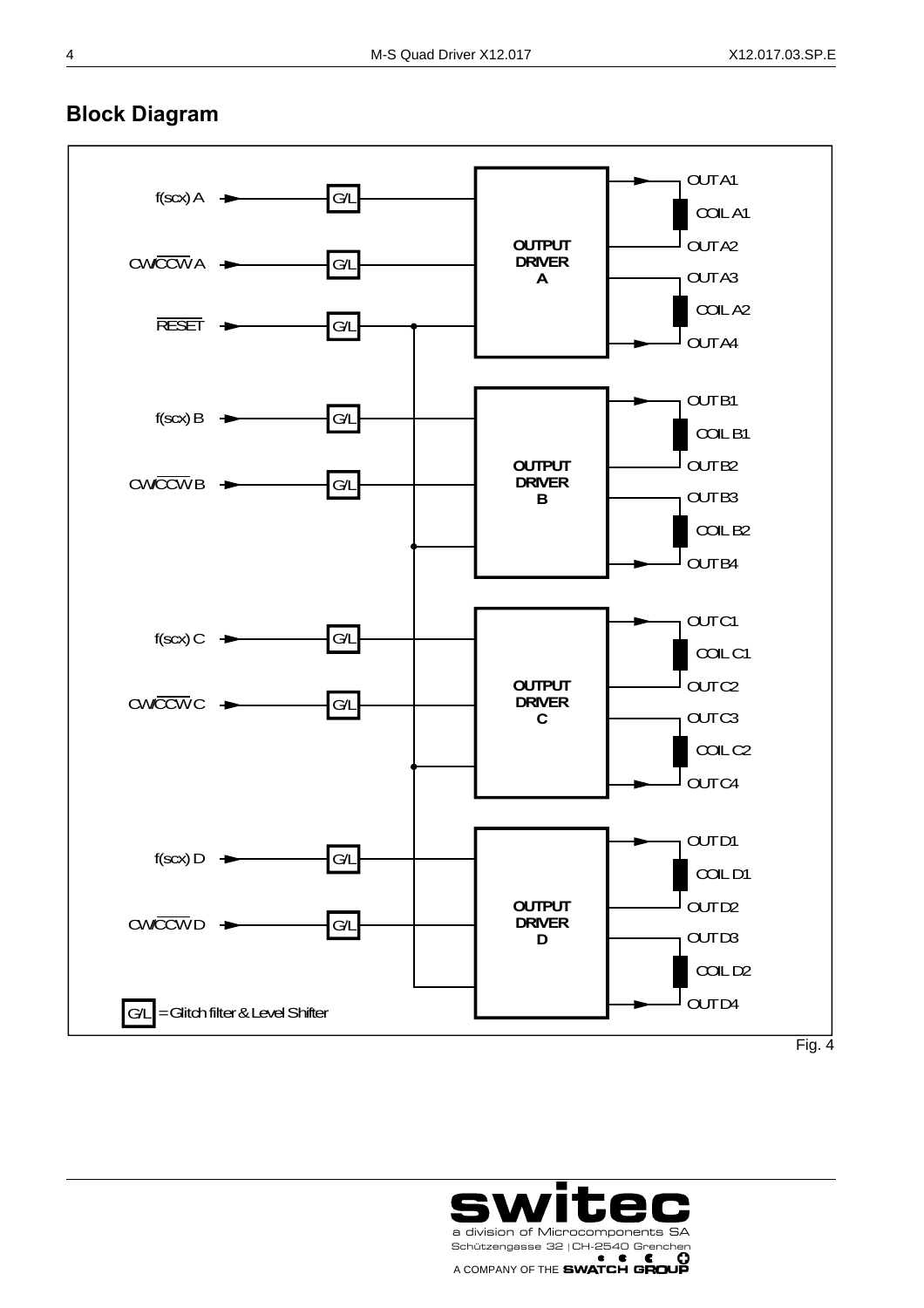

#### **Block Diagram**



i,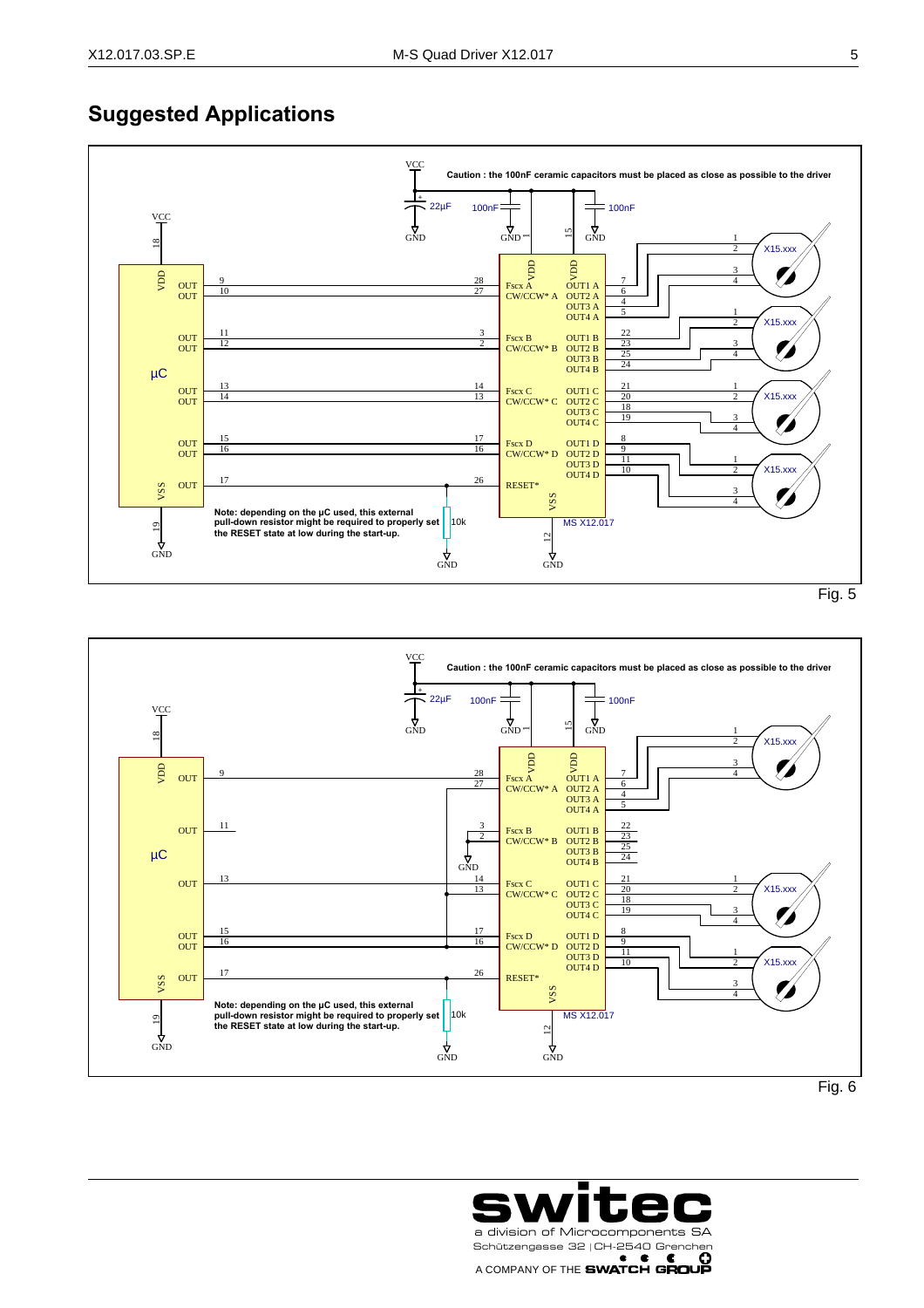j

#### **Suggested Applications**





Fig. 6

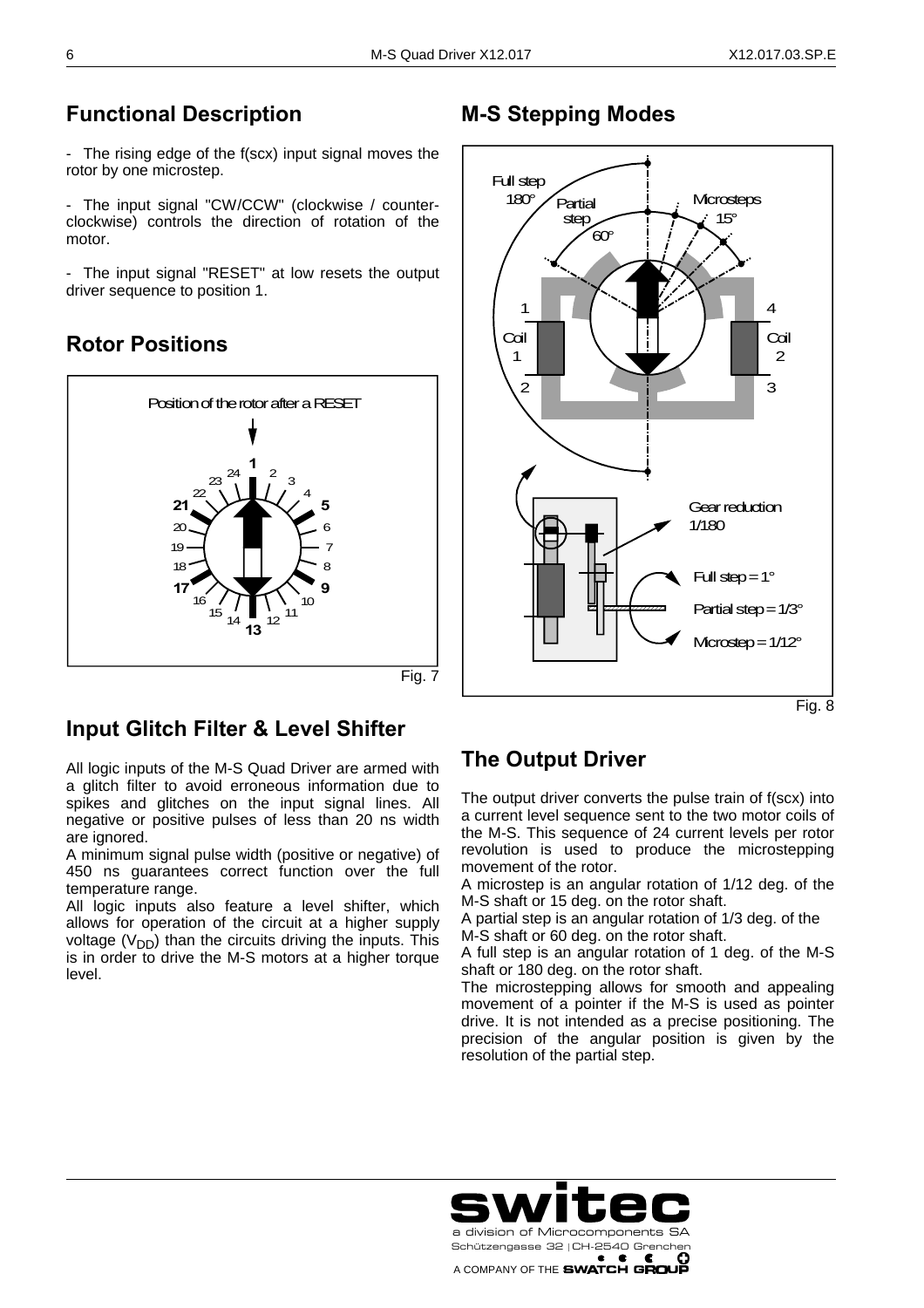### **Functional Description**

- The rising edge of the f(scx) input signal moves the rotor by one microstep.

- The input signal "CW/CCW" (clockwise / counterclockwise) controls the direction of rotation of the motor.

- The input signal "RESET" at low resets the output driver sequence to position 1.

## **Rotor Positions**



### **Input Glitch Filter & Level Shifter**

All logic inputs of the M-S Quad Driver are armed with a glitch filter to avoid erroneous information due to spikes and glitches on the input signal lines. All negative or positive pulses of less than 20 ns width are ignored.

A minimum signal pulse width (positive or negative) of 450 ns guarantees correct function over the full temperature range.

All logic inputs also feature a level shifter, which allows for operation of the circuit at a higher supply voltage  $(V_{DD})$  than the circuits driving the inputs. This is in order to drive the M-S motors at a higher torque level.

## **M-S Stepping Modes**



Fig. 8

#### **The Output Driver**

The output driver converts the pulse train of f(scx) into a current level sequence sent to the two motor coils of the M-S. This sequence of 24 current levels per rotor revolution is used to produce the microstepping movement of the rotor.

A microstep is an angular rotation of 1/12 deg. of the M-S shaft or 15 deg. on the rotor shaft.

A partial step is an angular rotation of 1/3 deg. of the M-S shaft or 60 deg. on the rotor shaft.

A full step is an angular rotation of 1 deg. of the M-S shaft or 180 deg. on the rotor shaft.

The microstepping allows for smooth and appealing movement of a pointer if the M-S is used as pointer drive. It is not intended as a precise positioning. The precision of the angular position is given by the resolution of the partial step.



i,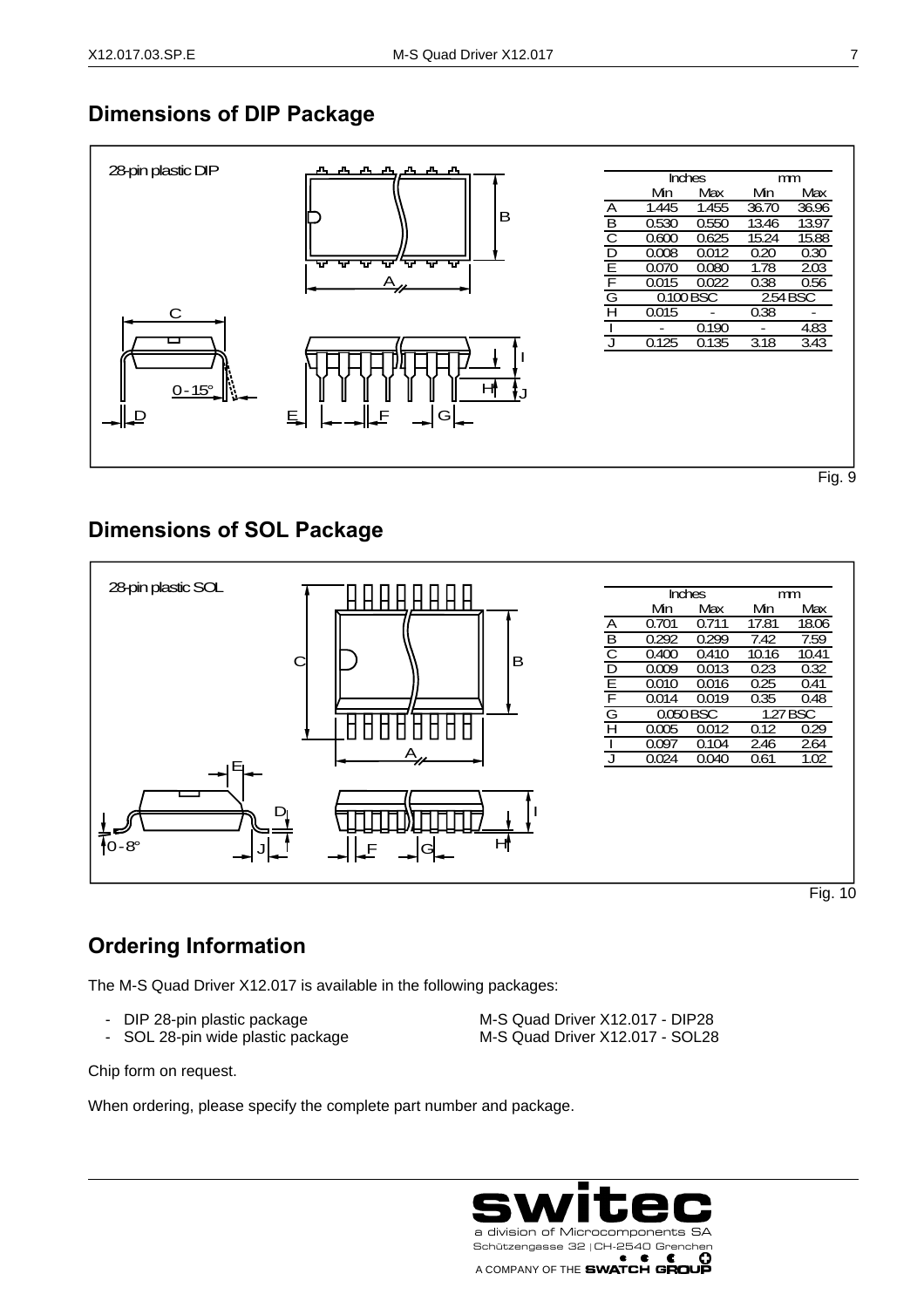#### **Dimensions of DIP Package**



Fig. 9

#### **Dimensions of SOL Package**



Fig. 10

## **Ordering Information**

The M-S Quad Driver X12.017 is available in the following packages:

- 
- SOL 28-pin wide plastic package M-S Quad Driver X12.017 SOL28

- DIP 28-pin plastic package M-S Quad Driver X12.017 - DIP28

Chip form on request.

j

When ordering, please specify the complete part number and package.